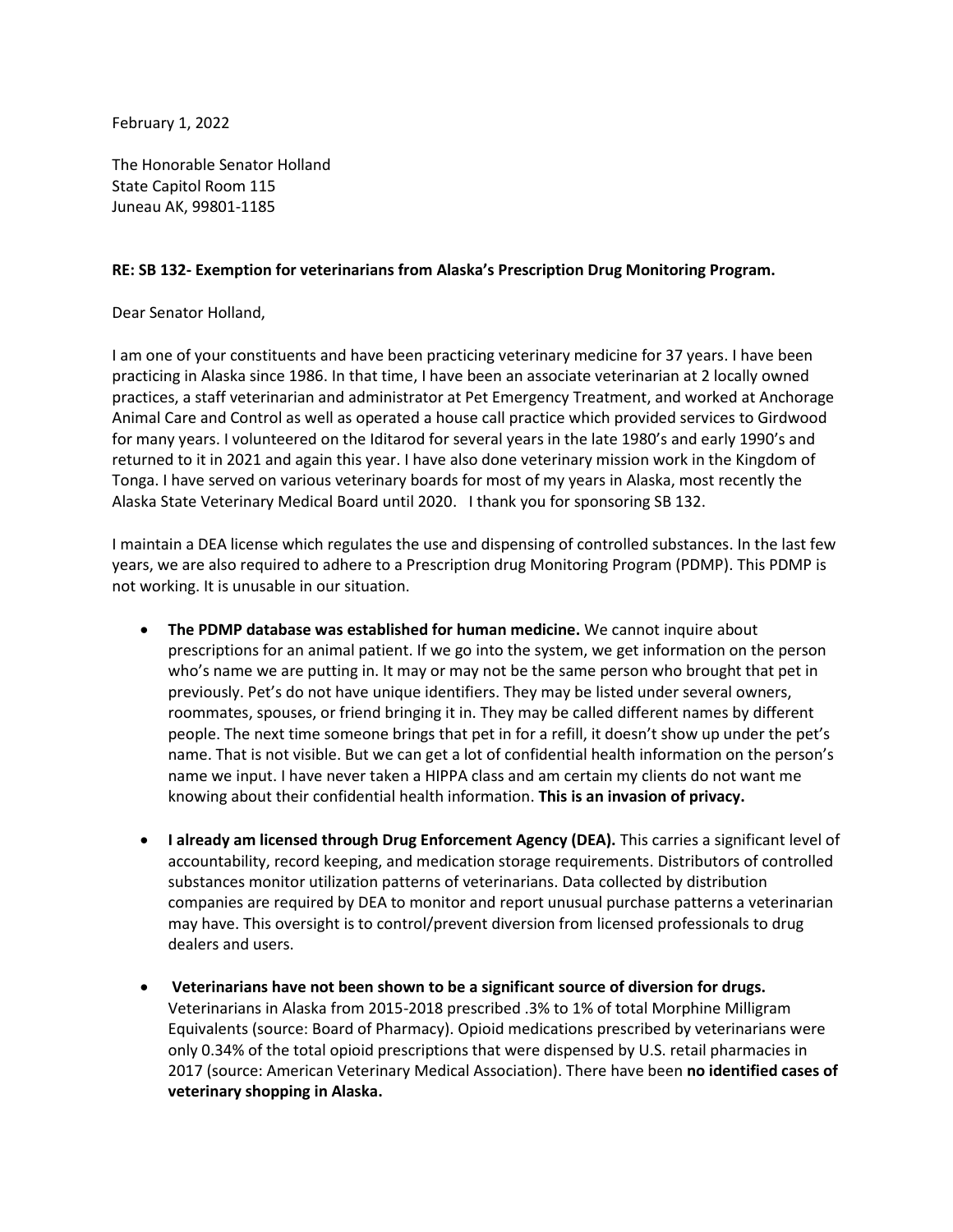February 1, 2022

The Honorable Senator Holland State Capitol Room 115 Juneau AK, 99801-1185

## **RE: SB 132- Exemption for veterinarians from Alaska's Prescription Drug Monitoring Program.**

Dear Senator Holland,

I am one of your constituents and have been practicing veterinary medicine for 37 years. I have been practicing in Alaska since 1986. In that time, I have been an associate veterinarian at 2 locally owned practices, a staff veterinarian and administrator at Pet Emergency Treatment, and worked at Anchorage Animal Care and Control as well as operated a house call practice which provided services to Girdwood for many years. I volunteered on the Iditarod for several years in the late 1980's and early 1990's and returned to it in 2021 and again this year. I have also done veterinary mission work in the Kingdom of Tonga. I have served on various veterinary boards for most of my years in Alaska, most recently the Alaska State Veterinary Medical Board until 2020. I thank you for sponsoring SB 132.

I maintain a DEA license which regulates the use and dispensing of controlled substances. In the last few years, we are also required to adhere to a Prescription drug Monitoring Program (PDMP). This PDMP is not working. It is unusable in our situation.

- **The PDMP database was established for human medicine.** We cannot inquire about prescriptions for an animal patient. If we go into the system, we get information on the person who's name we are putting in. It may or may not be the same person who brought that pet in previously. Pet's do not have unique identifiers. They may be listed under several owners, roommates, spouses, or friend bringing it in. They may be called different names by different people. The next time someone brings that pet in for a refill, it doesn't show up under the pet's name. That is not visible. But we can get a lot of confidential health information on the person's name we input. I have never taken a HIPPA class and am certain my clients do not want me knowing about their confidential health information. **This is an invasion of privacy.**
- **I already am licensed through Drug Enforcement Agency (DEA).** This carries a significant level of accountability, record keeping, and medication storage requirements. Distributors of controlled substances monitor utilization patterns of veterinarians. Data collected by distribution companies are required by DEA to monitor and report unusual purchase patterns a veterinarian may have. This oversight is to control/prevent diversion from licensed professionals to drug dealers and users.
- **Veterinarians have not been shown to be a significant source of diversion for drugs.** Veterinarians in Alaska from 2015-2018 prescribed .3% to 1% of total Morphine Milligram Equivalents (source: Board of Pharmacy). Opioid medications prescribed by veterinarians were only 0.34% of the total opioid prescriptions that were dispensed by U.S. retail pharmacies in 2017 (source: American Veterinary Medical Association). There have been **no identified cases of veterinary shopping in Alaska.**